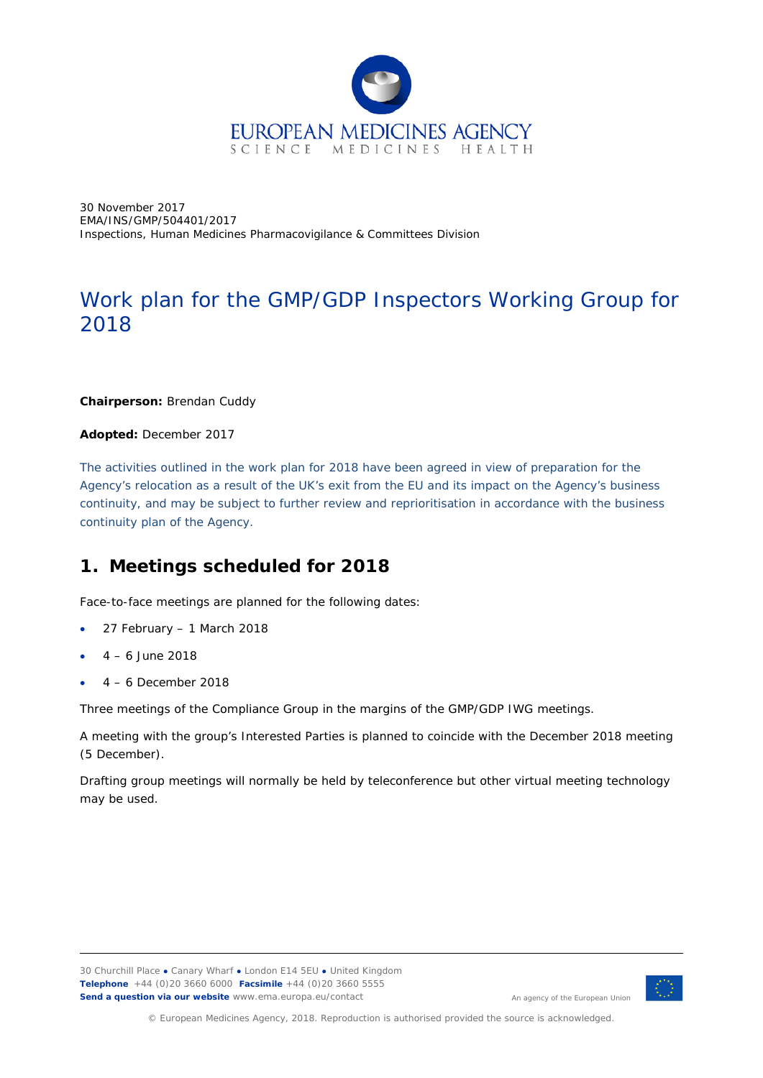

30 November 2017 EMA/INS/GMP/504401/2017 Inspections, Human Medicines Pharmacovigilance & Committees Division

# Work plan for the GMP/GDP Inspectors Working Group for 2018

### **Chairperson:** Brendan Cuddy

#### **Adopted:** December 2017

*The activities outlined in the work plan for 2018 have been agreed in view of preparation for the Agency's relocation as a result of the UK's exit from the EU and its impact on the Agency's business continuity, and may be subject to further review and reprioritisation in accordance with the business continuity plan of the Agency.*

## **1. Meetings scheduled for 2018**

Face-to-face meetings are planned for the following dates:

- 27 February 1 March 2018
- $4 6$  lune 2018
- $4 6$  December 2018

Three meetings of the Compliance Group in the margins of the GMP/GDP IWG meetings.

A meeting with the group's Interested Parties is planned to coincide with the December 2018 meeting (5 December).

Drafting group meetings will normally be held by teleconference but other virtual meeting technology may be used.

30 Churchill Place **●** Canary Wharf **●** London E14 5EU **●** United Kingdom **Telephone** +44 (0)20 3660 6000 **Facsimile** +44 (0)20 3660 5555 **Send a question via our website** www.ema.europa.eu/contact



An agency of the European Union

© European Medicines Agency, 2018. Reproduction is authorised provided the source is acknowledged.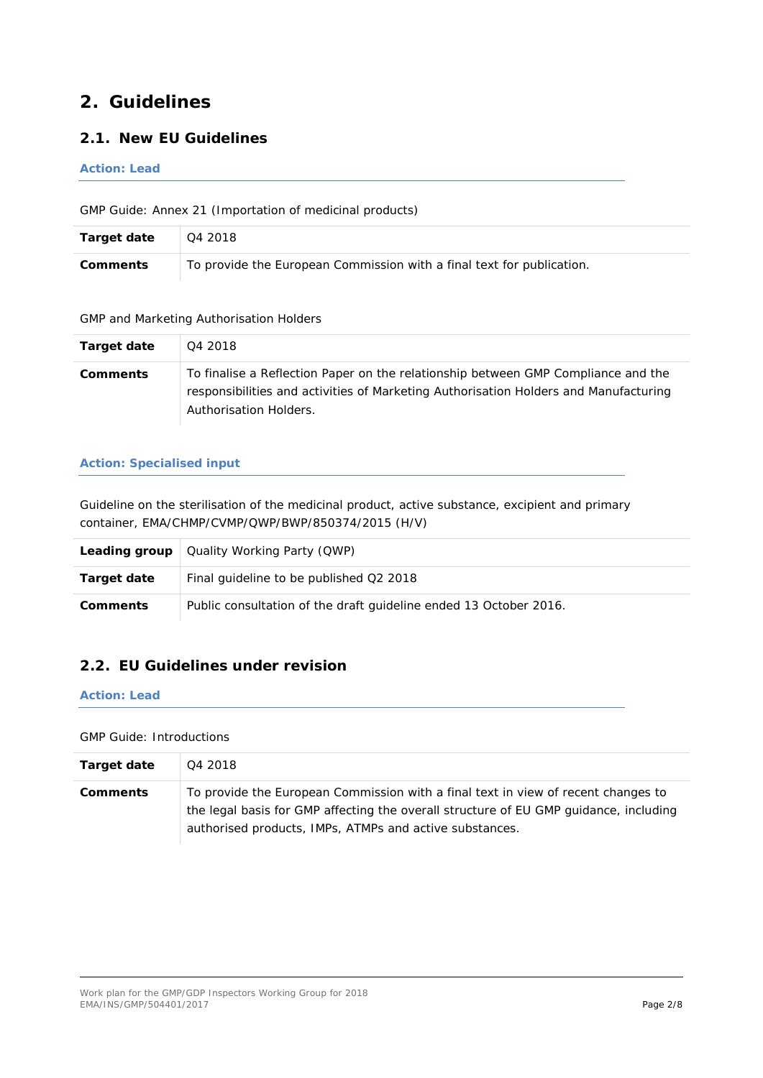## **2. Guidelines**

## *2.1. New EU Guidelines*

#### *Action: Lead*

GMP Guide: Annex 21 (Importation of medicinal products)

| Target date | l Q4 2018                                                             |
|-------------|-----------------------------------------------------------------------|
| Comments    | To provide the European Commission with a final text for publication. |

#### GMP and Marketing Authorisation Holders

| Target date     | Q4 2018                                                                                                                                                                                             |
|-----------------|-----------------------------------------------------------------------------------------------------------------------------------------------------------------------------------------------------|
| <b>Comments</b> | To finalise a Reflection Paper on the relationship between GMP Compliance and the<br>responsibilities and activities of Marketing Authorisation Holders and Manufacturing<br>Authorisation Holders. |

#### *Action: Specialised input*

Guideline on the sterilisation of the medicinal product, active substance, excipient and primary container, EMA/CHMP/CVMP/QWP/BWP/850374/2015 (H/V)

|                 | <b>Leading group</b> $\vert$ Quality Working Party (QWP)          |
|-----------------|-------------------------------------------------------------------|
| Target date     | Final guideline to be published Q2 2018                           |
| <b>Comments</b> | Public consultation of the draft guideline ended 13 October 2016. |

## *2.2. EU Guidelines under revision*

### *Action: Lead*

#### GMP Guide: Introductions

| Target date     | Q4 2018                                                                                                                                                                                                                               |
|-----------------|---------------------------------------------------------------------------------------------------------------------------------------------------------------------------------------------------------------------------------------|
| <b>Comments</b> | To provide the European Commission with a final text in view of recent changes to<br>the legal basis for GMP affecting the overall structure of EU GMP guidance, including<br>authorised products, IMPs, ATMPs and active substances. |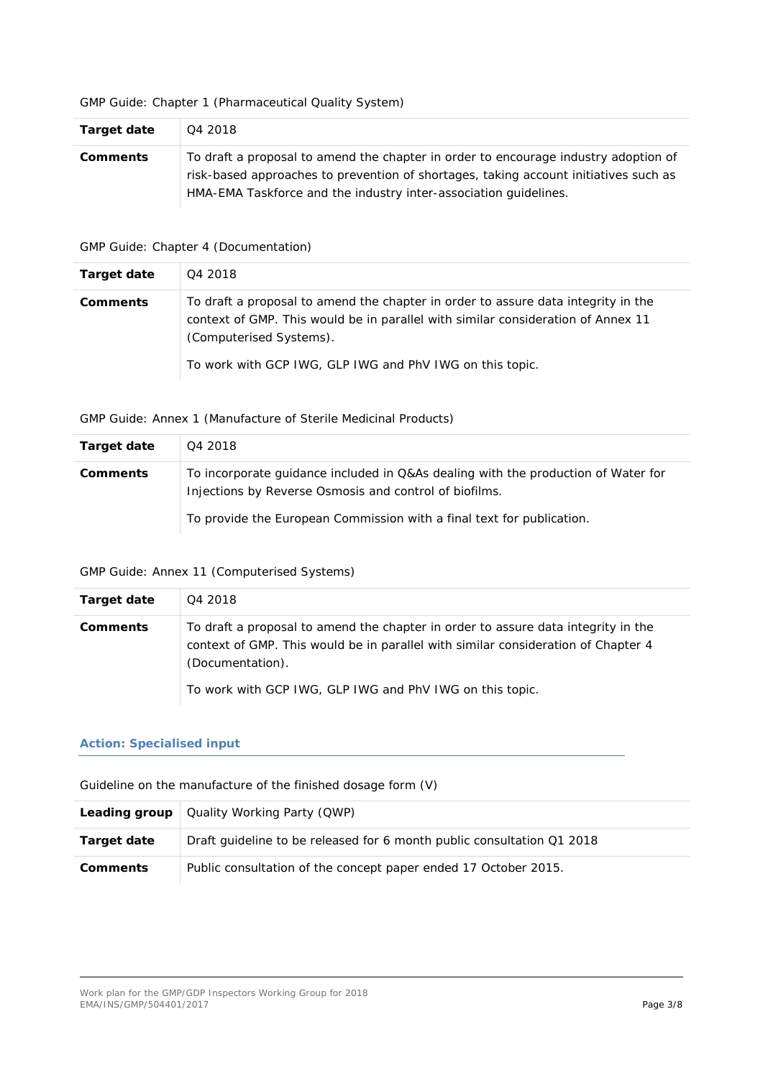#### GMP Guide: Chapter 1 (Pharmaceutical Quality System)

| Target date     | Q4 2018                                                                                                                                                                                                                                         |
|-----------------|-------------------------------------------------------------------------------------------------------------------------------------------------------------------------------------------------------------------------------------------------|
| <b>Comments</b> | To draft a proposal to amend the chapter in order to encourage industry adoption of<br>risk-based approaches to prevention of shortages, taking account initiatives such as<br>HMA-EMA Taskforce and the industry inter-association quidelines. |

### GMP Guide: Chapter 4 (Documentation)

| Target date     | Q4 2018                                                                                                                                                                                                                                                      |
|-----------------|--------------------------------------------------------------------------------------------------------------------------------------------------------------------------------------------------------------------------------------------------------------|
| <b>Comments</b> | To draft a proposal to amend the chapter in order to assure data integrity in the<br>context of GMP. This would be in parallel with similar consideration of Annex 11<br>(Computerised Systems).<br>To work with GCP IWG, GLP IWG and PhV IWG on this topic. |

### GMP Guide: Annex 1 (Manufacture of Sterile Medicinal Products)

| <b>Target date</b> | Q4 2018                                                                                                                                     |
|--------------------|---------------------------------------------------------------------------------------------------------------------------------------------|
| <b>Comments</b>    | To incorporate quidance included in Q&As dealing with the production of Water for<br>Injections by Reverse Osmosis and control of biofilms. |
|                    | To provide the European Commission with a final text for publication.                                                                       |

### GMP Guide: Annex 11 (Computerised Systems)

| Target date     | Q4 2018                                                                                                                                                                                                                                                |
|-----------------|--------------------------------------------------------------------------------------------------------------------------------------------------------------------------------------------------------------------------------------------------------|
| <b>Comments</b> | To draft a proposal to amend the chapter in order to assure data integrity in the<br>context of GMP. This would be in parallel with similar consideration of Chapter 4<br>(Documentation).<br>To work with GCP IWG, GLP IWG and PhV IWG on this topic. |

### *Action: Specialised input*

Guideline on the manufacture of the finished dosage form (V)

|                 | <b>Leading group</b>   Quality Working Party (QWP)                     |
|-----------------|------------------------------------------------------------------------|
| Target date     | Draft guideline to be released for 6 month public consultation Q1 2018 |
| <b>Comments</b> | Public consultation of the concept paper ended 17 October 2015.        |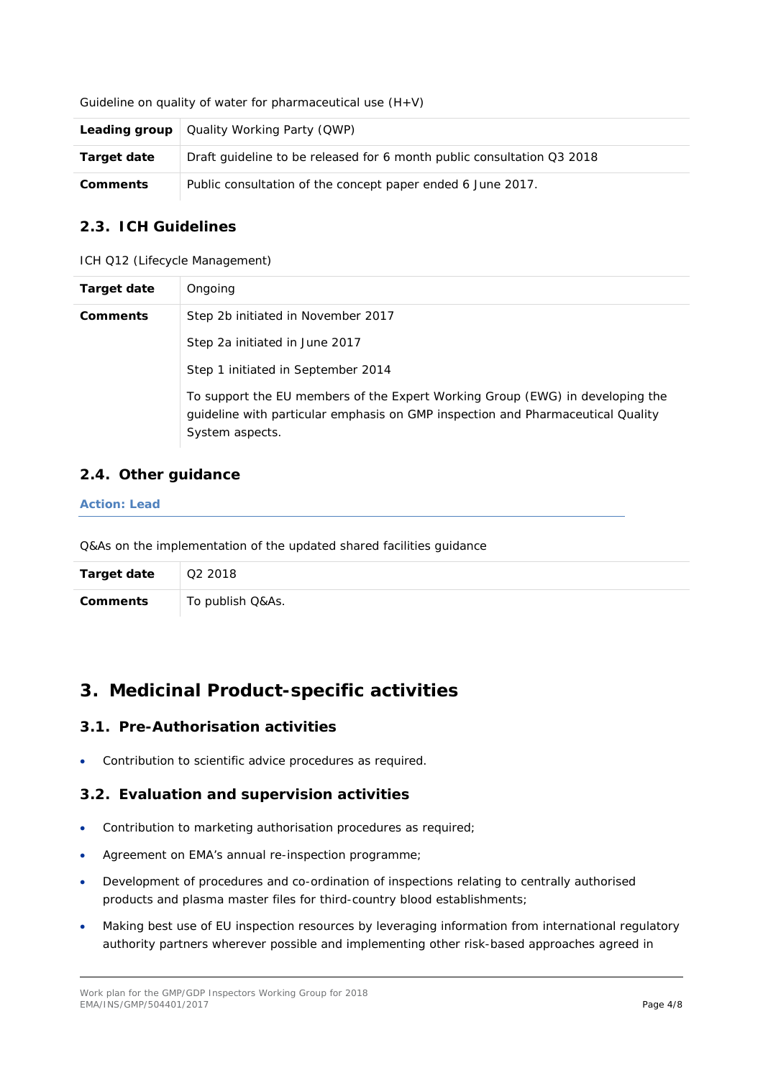Guideline on quality of water for pharmaceutical use  $(H+V)$ 

|                 | <b>Leading group</b> $\vert$ Quality Working Party (QWP)               |
|-----------------|------------------------------------------------------------------------|
| Target date     | Draft quideline to be released for 6 month public consultation Q3 2018 |
| <b>Comments</b> | Public consultation of the concept paper ended 6 June 2017.            |

## *2.3. ICH Guidelines*

ICH Q12 (Lifecycle Management)

| Target date | Ongoing                                                                                                                                                                             |
|-------------|-------------------------------------------------------------------------------------------------------------------------------------------------------------------------------------|
| Comments    | Step 2b initiated in November 2017                                                                                                                                                  |
|             | Step 2a initiated in June 2017                                                                                                                                                      |
|             | Step 1 initiated in September 2014                                                                                                                                                  |
|             | To support the EU members of the Expert Working Group (EWG) in developing the<br>guideline with particular emphasis on GMP inspection and Pharmaceutical Quality<br>System aspects. |

## *2.4. Other guidance*

#### *Action: Lead*

Q&As on the implementation of the updated shared facilities guidance

| <b>Target date</b> | Q2 2018          |
|--------------------|------------------|
| Comments           | To publish Q&As. |

## **3. Medicinal Product-specific activities**

## *3.1. Pre-Authorisation activities*

• Contribution to scientific advice procedures as required.

## *3.2. Evaluation and supervision activities*

- Contribution to marketing authorisation procedures as required;
- Agreement on EMA's annual re-inspection programme;
- Development of procedures and co-ordination of inspections relating to centrally authorised products and plasma master files for third-country blood establishments;
- Making best use of EU inspection resources by leveraging information from international regulatory authority partners wherever possible and implementing other risk-based approaches agreed in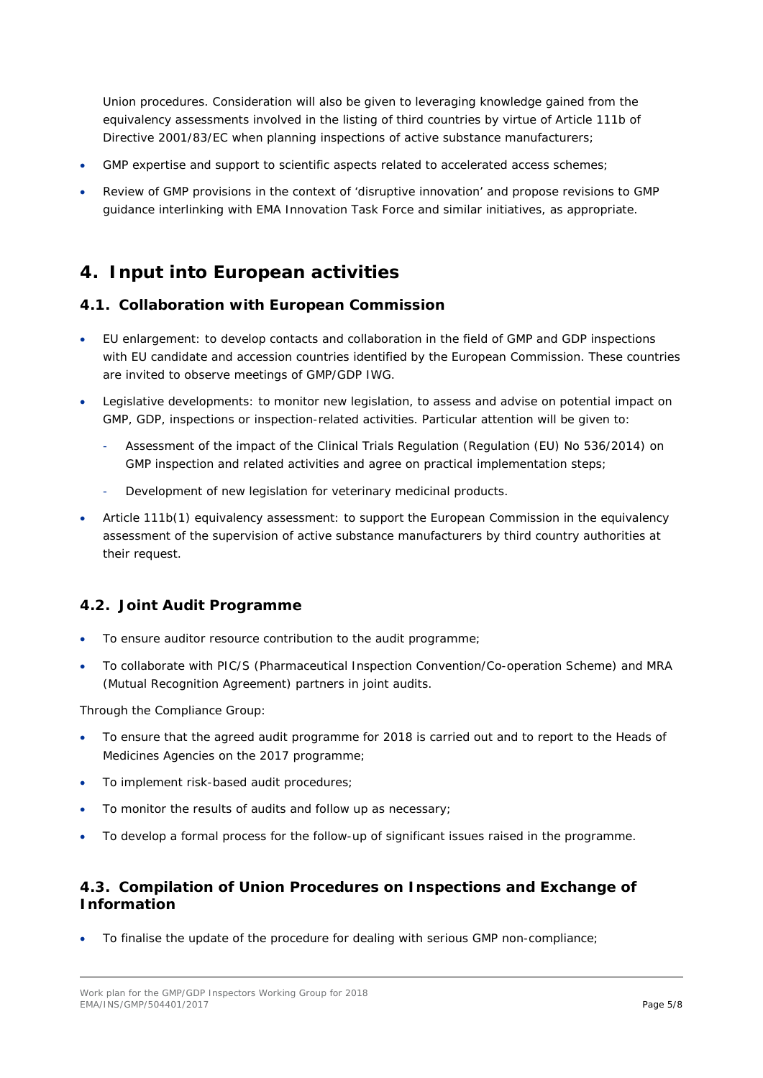Union procedures. Consideration will also be given to leveraging knowledge gained from the equivalency assessments involved in the listing of third countries by virtue of Article 111b of Directive 2001/83/EC when planning inspections of active substance manufacturers;

- GMP expertise and support to scientific aspects related to accelerated access schemes;
- Review of GMP provisions in the context of 'disruptive innovation' and propose revisions to GMP guidance interlinking with EMA Innovation Task Force and similar initiatives, as appropriate.

## **4. Input into European activities**

## *4.1. Collaboration with European Commission*

- EU enlargement: to develop contacts and collaboration in the field of GMP and GDP inspections with EU candidate and accession countries identified by the European Commission. These countries are invited to observe meetings of GMP/GDP IWG.
- Legislative developments: to monitor new legislation, to assess and advise on potential impact on GMP, GDP, inspections or inspection-related activities. Particular attention will be given to:
	- Assessment of the impact of the Clinical Trials Regulation (Regulation (EU) No 536/2014) on GMP inspection and related activities and agree on practical implementation steps;
	- Development of new legislation for veterinary medicinal products.
- Article 111b(1) equivalency assessment: to support the European Commission in the equivalency assessment of the supervision of active substance manufacturers by third country authorities at their request.

## *4.2. Joint Audit Programme*

- To ensure auditor resource contribution to the audit programme;
- To collaborate with PIC/S (Pharmaceutical Inspection Convention/Co-operation Scheme) and MRA (Mutual Recognition Agreement) partners in joint audits.

Through the Compliance Group:

- To ensure that the agreed audit programme for 2018 is carried out and to report to the Heads of Medicines Agencies on the 2017 programme;
- To implement risk-based audit procedures;
- To monitor the results of audits and follow up as necessary:
- To develop a formal process for the follow-up of significant issues raised in the programme.

## *4.3. Compilation of Union Procedures on Inspections and Exchange of Information*

• To finalise the update of the procedure for dealing with serious GMP non-compliance;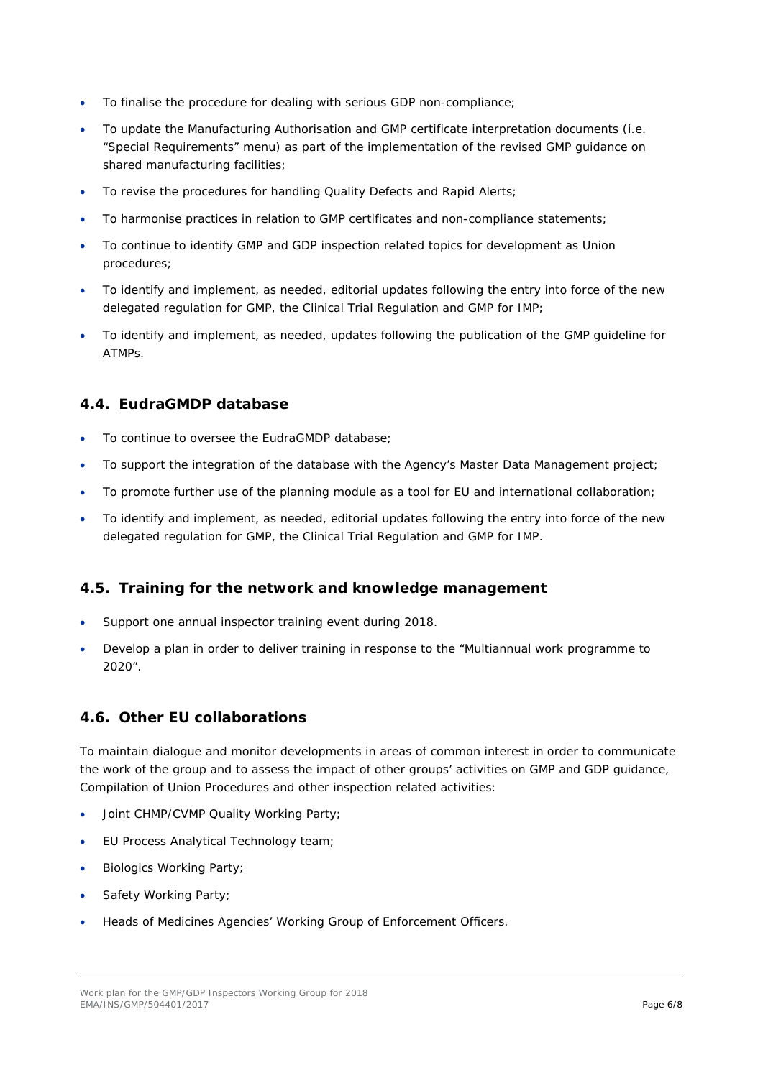- To finalise the procedure for dealing with serious GDP non-compliance;
- To update the Manufacturing Authorisation and GMP certificate interpretation documents (i.e. "Special Requirements" menu) as part of the implementation of the revised GMP guidance on shared manufacturing facilities;
- To revise the procedures for handling Quality Defects and Rapid Alerts;
- To harmonise practices in relation to GMP certificates and non-compliance statements;
- To continue to identify GMP and GDP inspection related topics for development as Union procedures;
- To identify and implement, as needed, editorial updates following the entry into force of the new delegated regulation for GMP, the Clinical Trial Regulation and GMP for IMP;
- To identify and implement, as needed, updates following the publication of the GMP guideline for ATMPs.

## *4.4. EudraGMDP database*

- To continue to oversee the EudraGMDP database;
- To support the integration of the database with the Agency's Master Data Management project;
- To promote further use of the planning module as a tool for EU and international collaboration;
- To identify and implement, as needed, editorial updates following the entry into force of the new delegated regulation for GMP, the Clinical Trial Regulation and GMP for IMP.

## *4.5. Training for the network and knowledge management*

- Support one annual inspector training event during 2018.
- Develop a plan in order to deliver training in response to the "Multiannual work programme to 2020".

## *4.6. Other EU collaborations*

To maintain dialogue and monitor developments in areas of common interest in order to communicate the work of the group and to assess the impact of other groups' activities on GMP and GDP guidance, Compilation of Union Procedures and other inspection related activities:

- Joint CHMP/CVMP Quality Working Party;
- EU Process Analytical Technology team;
- Biologics Working Party;
- Safety Working Party;
- Heads of Medicines Agencies' Working Group of Enforcement Officers.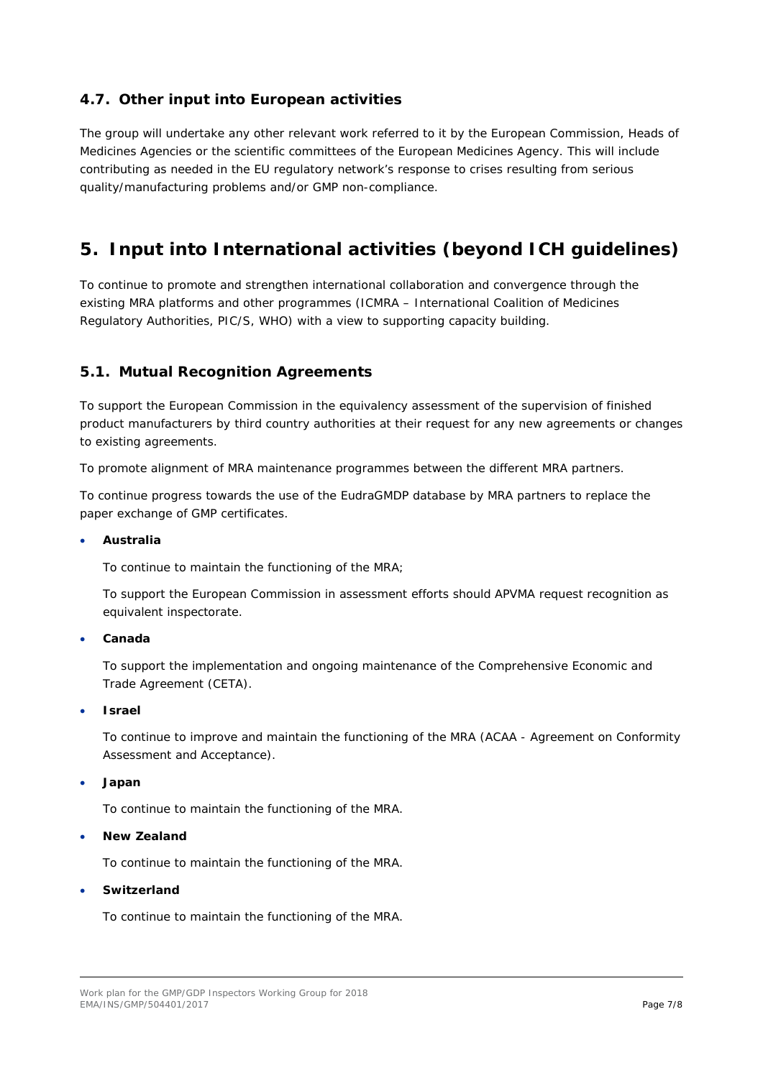## *4.7. Other input into European activities*

The group will undertake any other relevant work referred to it by the European Commission, Heads of Medicines Agencies or the scientific committees of the European Medicines Agency. This will include contributing as needed in the EU regulatory network's response to crises resulting from serious quality/manufacturing problems and/or GMP non-compliance.

# **5. Input into International activities (beyond ICH guidelines)**

To continue to promote and strengthen international collaboration and convergence through the existing MRA platforms and other programmes (ICMRA – International Coalition of Medicines Regulatory Authorities, PIC/S, WHO) with a view to supporting capacity building.

## *5.1. Mutual Recognition Agreements*

To support the European Commission in the equivalency assessment of the supervision of finished product manufacturers by third country authorities at their request for any new agreements or changes to existing agreements.

To promote alignment of MRA maintenance programmes between the different MRA partners.

To continue progress towards the use of the EudraGMDP database by MRA partners to replace the paper exchange of GMP certificates.

#### • **Australia**

To continue to maintain the functioning of the MRA;

To support the European Commission in assessment efforts should APVMA request recognition as equivalent inspectorate.

#### • **Canada**

To support the implementation and ongoing maintenance of the Comprehensive Economic and Trade Agreement (CETA).

• **Israel**

To continue to improve and maintain the functioning of the MRA (ACAA - Agreement on Conformity Assessment and Acceptance).

#### • **Japan**

To continue to maintain the functioning of the MRA.

• **New Zealand**

To continue to maintain the functioning of the MRA.

#### • **Switzerland**

To continue to maintain the functioning of the MRA.